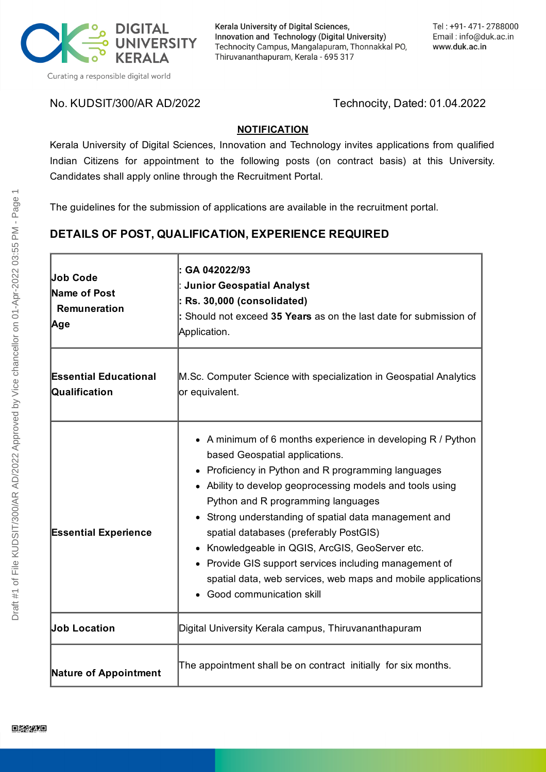

Kerala University of Digital Sciences, Innovation and Technology (Digital University) Technocity Campus, Mangalapuram, Thonnakkal PO, Thiruvananthapuram, Kerala - 695 317

No. KUDSIT/300/AR AD/2022 Technocity, Dated: 01.04.2022

#### **NOTIFICATION**

Kerala University of Digital Sciences, Innovation and Technology invites applications from qualified Indian Citizens for appointment to the following posts (on contract basis) at this University. Candidates shall apply online through the Recruitment Portal.

The guidelines for the submission of applications are available in the recruitment portal.

# **DETAILS OF POST, QUALIFICATION, EXPERIENCE REQUIRED**

| <b>Job Code</b><br>Name of Post<br>Remuneration<br> Age | GA 042022/93<br><b>Junior Geospatial Analyst</b><br>Rs. 30,000 (consolidated)<br>Should not exceed 35 Years as on the last date for submission of<br>Application.                                                                                                                                                                                                                                                                                                                                                                                           |
|---------------------------------------------------------|-------------------------------------------------------------------------------------------------------------------------------------------------------------------------------------------------------------------------------------------------------------------------------------------------------------------------------------------------------------------------------------------------------------------------------------------------------------------------------------------------------------------------------------------------------------|
| <b>Essential Educational</b><br>Qualification           | M.Sc. Computer Science with specialization in Geospatial Analytics<br>or equivalent.                                                                                                                                                                                                                                                                                                                                                                                                                                                                        |
| <b>Essential Experience</b>                             | • A minimum of 6 months experience in developing R / Python<br>based Geospatial applications.<br>Proficiency in Python and R programming languages<br>Ability to develop geoprocessing models and tools using<br>Python and R programming languages<br>Strong understanding of spatial data management and<br>spatial databases (preferably PostGIS)<br>Knowledgeable in QGIS, ArcGIS, GeoServer etc.<br>• Provide GIS support services including management of<br>spatial data, web services, web maps and mobile applications<br>Good communication skill |
| <b>Job Location</b>                                     | Digital University Kerala campus, Thiruvananthapuram                                                                                                                                                                                                                                                                                                                                                                                                                                                                                                        |
| <b>Nature of Appointment</b>                            | The appointment shall be on contract initially for six months.                                                                                                                                                                                                                                                                                                                                                                                                                                                                                              |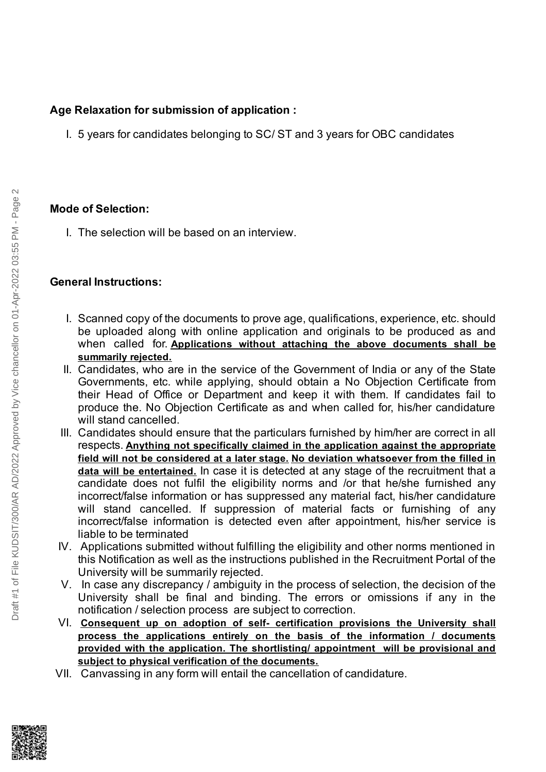# **Age Relaxation for submission of application :**

I. 5 years for candidates belonging to SC/ ST and 3 years for OBC candidates

## **Mode of Selection:**

I. The selection will be based on an interview.

### **General Instructions:**

- I. Scanned copy of the documents to prove age, qualifications, experience, etc. should be uploaded along with online application and originals to be produced as and when called for. **Applications without attaching the above documents shall be summarily rejected.**
- II. Candidates, who are in the service of the Government of India or any of the State Governments, etc. while applying, should obtain a No Objection Certificate from their Head of Office or Department and keep it with them. If candidates fail to produce the. No Objection Certificate as and when called for, his/her candidature will stand cancelled.
- III. Candidates should ensure that the particulars furnished by him/her are correct in all respects. **Anything not specifically claimed in the application against the appropriate field will not be considered at a later stage. No deviation whatsoever from the filled in data will be entertained.** In case it is detected at any stage of the recruitment that a candidate does not fulfil the eligibility norms and /or that he/she furnished any incorrect/false information or has suppressed any material fact, his/her candidature will stand cancelled. If suppression of material facts or furnishing of any incorrect/false information is detected even after appointment, his/her service is liable to be terminated
- IV. Applications submitted without fulfilling the eligibility and other norms mentioned in this Notification as well as the instructions published in the Recruitment Portal of the University will be summarily rejected.
- V. In case any discrepancy / ambiguity in the process of selection, the decision of the University shall be final and binding. The errors or omissions if any in the notification / selection process are subject to correction.
- VI. **Consequent up on adoption of self- certification provisions the University shall process the applications entirely on the basis of the information / documents provided with the application. The shortlisting/ appointment will be provisional and subject to physical verification of the documents.**
- VII. Canvassing in any form will entail the cancellation of candidature.